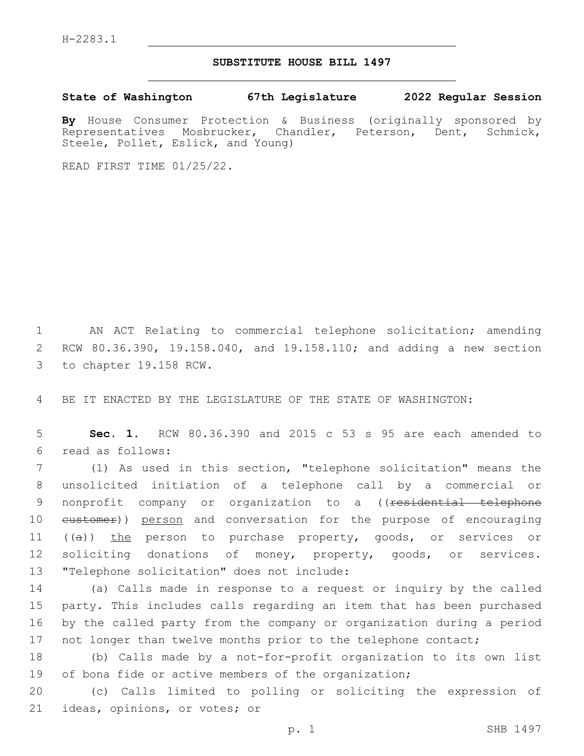## **SUBSTITUTE HOUSE BILL 1497**

**State of Washington 67th Legislature 2022 Regular Session**

**By** House Consumer Protection & Business (originally sponsored by Representatives Mosbrucker, Chandler, Peterson, Dent, Schmick, Steele, Pollet, Eslick, and Young)

READ FIRST TIME 01/25/22.

1 AN ACT Relating to commercial telephone solicitation; amending 2 RCW 80.36.390, 19.158.040, and 19.158.110; and adding a new section 3 to chapter 19.158 RCW.

4 BE IT ENACTED BY THE LEGISLATURE OF THE STATE OF WASHINGTON:

5 **Sec. 1.** RCW 80.36.390 and 2015 c 53 s 95 are each amended to read as follows:6

7 (1) As used in this section, "telephone solicitation" means the 8 unsolicited initiation of a telephone call by a commercial or 9 nonprofit company or organization to a ((<del>residential telephone</del> 10 eustomer)) person and conversation for the purpose of encouraging 11 ((a)) the person to purchase property, goods, or services or 12 soliciting donations of money, property, goods, or services. 13 "Telephone solicitation" does not include:

 (a) Calls made in response to a request or inquiry by the called party. This includes calls regarding an item that has been purchased by the called party from the company or organization during a period 17 not longer than twelve months prior to the telephone contact;

18 (b) Calls made by a not-for-profit organization to its own list 19 of bona fide or active members of the organization;

20 (c) Calls limited to polling or soliciting the expression of 21 ideas, opinions, or votes; or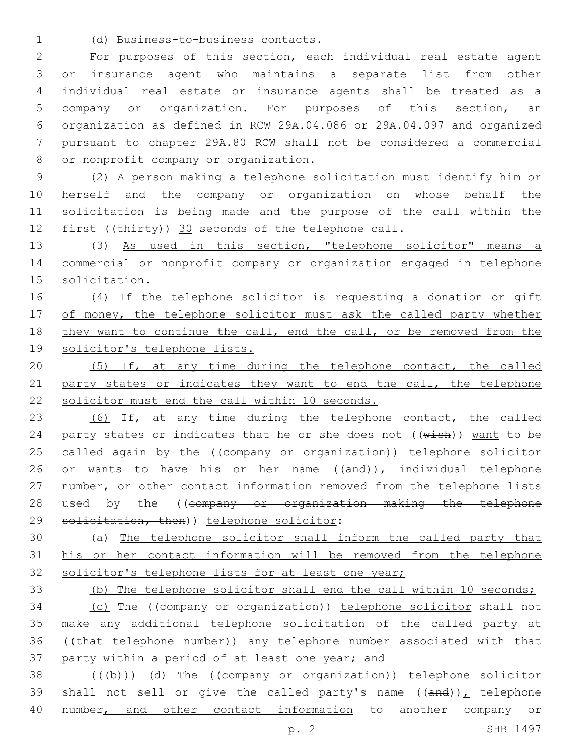(d) Business-to-business contacts.1

 For purposes of this section, each individual real estate agent or insurance agent who maintains a separate list from other individual real estate or insurance agents shall be treated as a company or organization. For purposes of this section, an organization as defined in RCW 29A.04.086 or 29A.04.097 and organized pursuant to chapter 29A.80 RCW shall not be considered a commercial 8 or nonprofit company or organization.

 (2) A person making a telephone solicitation must identify him or herself and the company or organization on whose behalf the solicitation is being made and the purpose of the call within the 12 first ((thirty)) 30 seconds of the telephone call.

13 (3) As used in this section, "telephone solicitor" means a 14 commercial or nonprofit company or organization engaged in telephone 15 solicitation.

16 (4) If the telephone solicitor is requesting a donation or gift 17 of money, the telephone solicitor must ask the called party whether 18 they want to continue the call, end the call, or be removed from the 19 solicitor's telephone lists.

20 (5) If, at any time during the telephone contact, the called 21 party states or indicates they want to end the call, the telephone 22 solicitor must end the call within 10 seconds.

23 (6) If, at any time during the telephone contact, the called 24 party states or indicates that he or she does not  $((\text{wish}))$  want to be 25 called again by the ((company or organization)) telephone solicitor 26 or wants to have his or her name  $((and))_L$  individual telephone 27 number, or other contact information removed from the telephone lists 28 used by the ((company or organization making the telephone 29 solicitation, then)) telephone solicitor:

30 (a) The telephone solicitor shall inform the called party that 31 his or her contact information will be removed from the telephone 32 solicitor's telephone lists for at least one year;

33 (b) The telephone solicitor shall end the call within 10 seconds;

 (c) The ((company or organization)) telephone solicitor shall not make any additional telephone solicitation of the called party at ((that telephone number)) any telephone number associated with that 37 party within a period of at least one year; and

38 (((b))) (d) The ((company or organization)) telephone solicitor 39 shall not sell or give the called party's name  $((and))_{L}$  telephone 40 number, and other contact information to another company or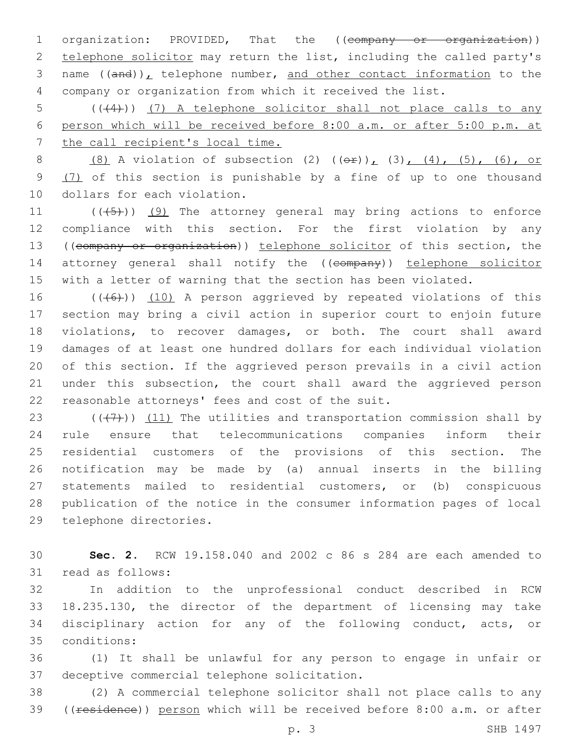1 organization: PROVIDED, That the ((company or organization)) 2 telephone solicitor may return the list, including the called party's 3 name  $((and))_L$  telephone number, and other contact information to the 4 company or organization from which it received the list.

5 (( $(4)$ )) (7) A telephone solicitor shall not place calls to any 6 person which will be received before 8:00 a.m. or after 5:00 p.m. at 7 the call recipient's local time.

8 (8) A violation of subsection (2)  $((\theta \hat{r}))_L$  (3), (4), (5), (6), or 9 (7) of this section is punishable by a fine of up to one thousand 10 dollars for each violation.

 $((+5+))$  (9) The attorney general may bring actions to enforce compliance with this section. For the first violation by any ((company or organization)) telephone solicitor of this section, the 14 attorney general shall notify the ((company)) telephone solicitor with a letter of warning that the section has been violated.

 $((+6+))$   $(10)$  A person aggrieved by repeated violations of this section may bring a civil action in superior court to enjoin future violations, to recover damages, or both. The court shall award damages of at least one hundred dollars for each individual violation of this section. If the aggrieved person prevails in a civil action 21 under this subsection, the court shall award the aggrieved person 22 reasonable attorneys' fees and cost of the suit.

 $((+7+))$   $(11)$  The utilities and transportation commission shall by rule ensure that telecommunications companies inform their residential customers of the provisions of this section. The notification may be made by (a) annual inserts in the billing statements mailed to residential customers, or (b) conspicuous publication of the notice in the consumer information pages of local 29 telephone directories.

30 **Sec. 2.** RCW 19.158.040 and 2002 c 86 s 284 are each amended to 31 read as follows:

 In addition to the unprofessional conduct described in RCW 18.235.130, the director of the department of licensing may take disciplinary action for any of the following conduct, acts, or conditions:35

36 (1) It shall be unlawful for any person to engage in unfair or 37 deceptive commercial telephone solicitation.

38 (2) A commercial telephone solicitor shall not place calls to any 39 ((residence)) person which will be received before 8:00 a.m. or after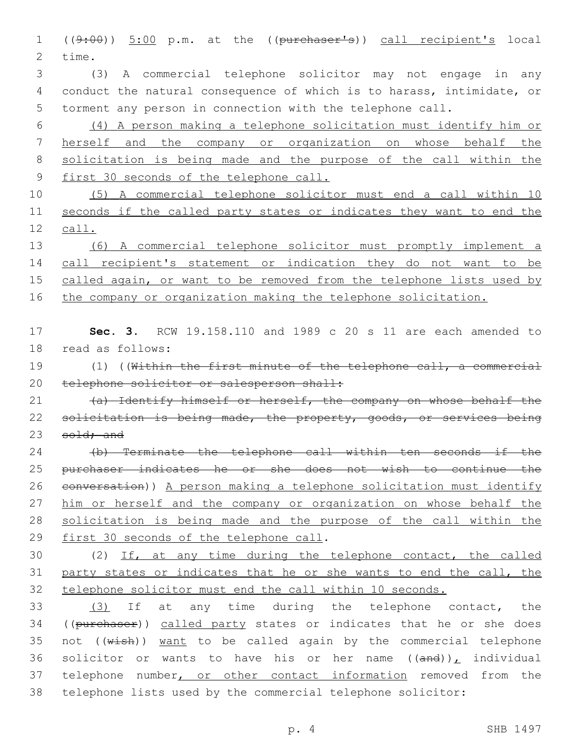((9:00)) 5:00 p.m. at the ((purchaser's)) call recipient's local 2 time.

 (3) A commercial telephone solicitor may not engage in any conduct the natural consequence of which is to harass, intimidate, or torment any person in connection with the telephone call.

 (4) A person making a telephone solicitation must identify him or herself and the company or organization on whose behalf the solicitation is being made and the purpose of the call within the first 30 seconds of the telephone call.

 (5) A commercial telephone solicitor must end a call within 10 seconds if the called party states or indicates they want to end the call.

 (6) A commercial telephone solicitor must promptly implement a 14 call recipient's statement or indication they do not want to be 15 called again, or want to be removed from the telephone lists used by 16 the company or organization making the telephone solicitation.

 **Sec. 3.** RCW 19.158.110 and 1989 c 20 s 11 are each amended to 18 read as follows:

 (1) ((Within the first minute of the telephone call, a commercial 20 telephone solicitor or salesperson shall:

21 (a) Identify himself or herself, the company on whose behalf the 22 solicitation is being made, the property, goods, or services being 23 sold; and

 (b) Terminate the telephone call within ten seconds if the purchaser indicates he or she does not wish to continue the conversation)) A person making a telephone solicitation must identify him or herself and the company or organization on whose behalf the solicitation is being made and the purpose of the call within the 29 first 30 seconds of the telephone call.

 (2) If, at any time during the telephone contact, the called party states or indicates that he or she wants to end the call, the telephone solicitor must end the call within 10 seconds.

 (3) If at any time during the telephone contact, the 34 ((purchaser)) called party states or indicates that he or she does 35 not  $((\text{wish}))$  want to be called again by the commercial telephone 36 solicitor or wants to have his or her name  $((and))_L$  individual 37 telephone number, or other contact information removed from the telephone lists used by the commercial telephone solicitor: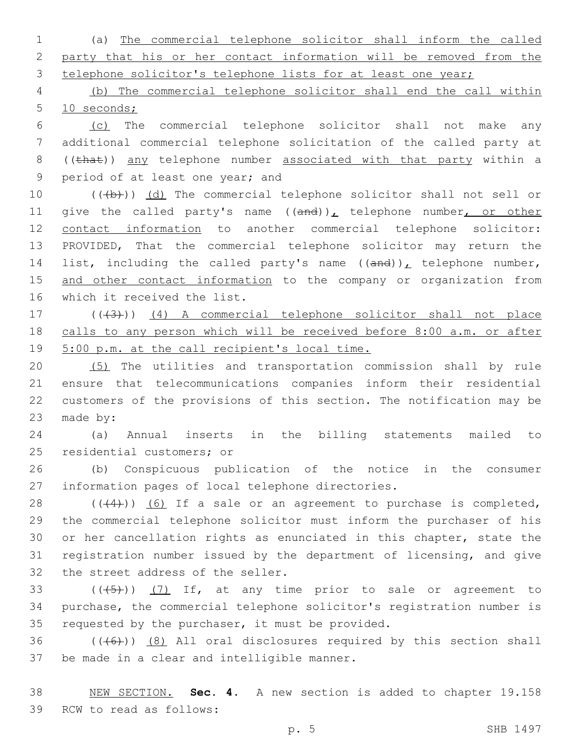1 (a) The commercial telephone solicitor shall inform the called 2 party that his or her contact information will be removed from the 3 telephone solicitor's telephone lists for at least one year;

4 (b) The commercial telephone solicitor shall end the call within 5 10 seconds;

6 (c) The commercial telephone solicitor shall not make any 7 additional commercial telephone solicitation of the called party at 8 ((that)) any telephone number associated with that party within a 9 period of at least one year; and

10 (((b))) (d) The commercial telephone solicitor shall not sell or 11 give the called party's name  $((and))_L$  telephone number, or other 12 contact information to another commercial telephone solicitor: 13 PROVIDED, That the commercial telephone solicitor may return the 14 list, including the called party's name  $((and))_L$  telephone number, 15 and other contact information to the company or organization from 16 which it received the list.

17 (((43))) (4) A commercial telephone solicitor shall not place 18 calls to any person which will be received before 8:00 a.m. or after 19 5:00 p.m. at the call recipient's local time.

 (5) The utilities and transportation commission shall by rule ensure that telecommunications companies inform their residential customers of the provisions of this section. The notification may be 23 made by:

24 (a) Annual inserts in the billing statements mailed to 25 residential customers; or

26 (b) Conspicuous publication of the notice in the consumer 27 information pages of local telephone directories.

 ( $(44)$ ))  $(6)$  If a sale or an agreement to purchase is completed, the commercial telephone solicitor must inform the purchaser of his or her cancellation rights as enunciated in this chapter, state the registration number issued by the department of licensing, and give 32 the street address of the seller.

33  $((+5+))$   $(7)$  If, at any time prior to sale or agreement to 34 purchase, the commercial telephone solicitor's registration number is 35 requested by the purchaser, it must be provided.

 $36$  (( $(46)$ )) (8) All oral disclosures required by this section shall 37 be made in a clear and intelligible manner.

38 NEW SECTION. **Sec. 4.** A new section is added to chapter 19.158 39 RCW to read as follows: